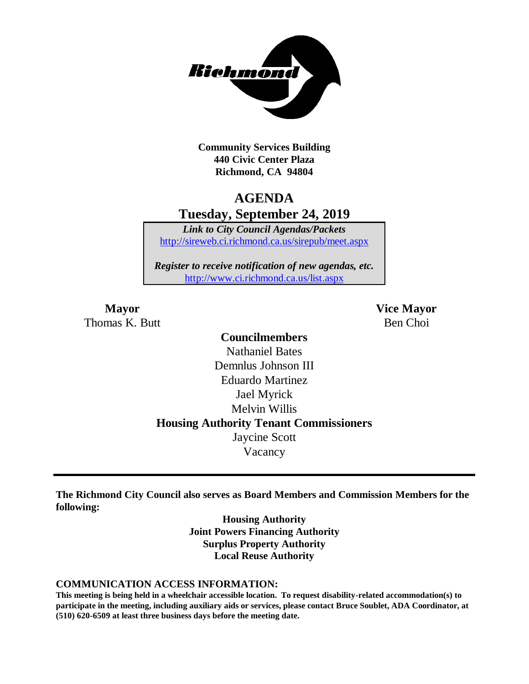

**Community Services Building 440 Civic Center Plaza Richmond, CA 94804**

### **AGENDA Tuesday, September 24, 2019**

*Link to City Council Agendas/Packets* <http://sireweb.ci.richmond.ca.us/sirepub/meet.aspx>

*Register to receive notification of new agendas, etc.* <http://www.ci.richmond.ca.us/list.aspx>

Thomas K. Butt Ben Choi

**Mayor Vice Mayor**

### **Councilmembers** Nathaniel Bates Demnlus Johnson III Eduardo Martinez Jael Myrick Melvin Willis **Housing Authority Tenant Commissioners** Jaycine Scott Vacancy

**The Richmond City Council also serves as Board Members and Commission Members for the following:**

> **Housing Authority Joint Powers Financing Authority Surplus Property Authority Local Reuse Authority**

#### **COMMUNICATION ACCESS INFORMATION:**

**This meeting is being held in a wheelchair accessible location. To request disability-related accommodation(s) to participate in the meeting, including auxiliary aids or services, please contact Bruce Soublet, ADA Coordinator, at (510) 620-6509 at least three business days before the meeting date.**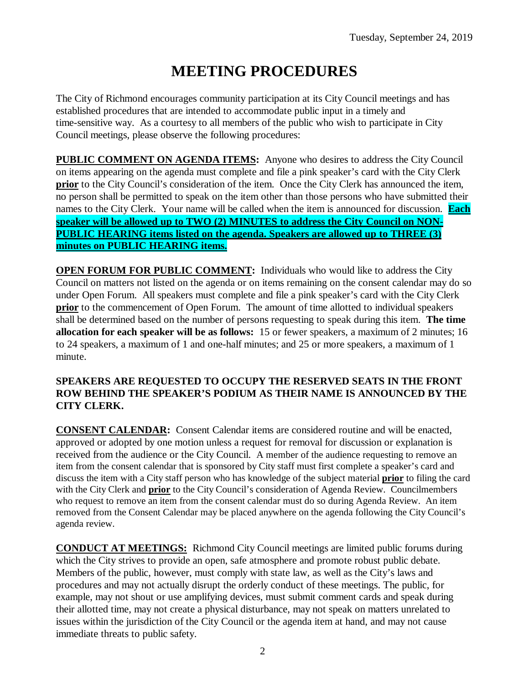# **MEETING PROCEDURES**

The City of Richmond encourages community participation at its City Council meetings and has established procedures that are intended to accommodate public input in a timely and time-sensitive way. As a courtesy to all members of the public who wish to participate in City Council meetings, please observe the following procedures:

**PUBLIC COMMENT ON AGENDA ITEMS:** Anyone who desires to address the City Council on items appearing on the agenda must complete and file a pink speaker's card with the City Clerk **prior** to the City Council's consideration of the item. Once the City Clerk has announced the item, no person shall be permitted to speak on the item other than those persons who have submitted their names to the City Clerk. Your name will be called when the item is announced for discussion. **Each speaker will be allowed up to TWO (2) MINUTES to address the City Council on NON-PUBLIC HEARING items listed on the agenda. Speakers are allowed up to THREE (3) minutes on PUBLIC HEARING items.**

**OPEN FORUM FOR PUBLIC COMMENT:** Individuals who would like to address the City Council on matters not listed on the agenda or on items remaining on the consent calendar may do so under Open Forum. All speakers must complete and file a pink speaker's card with the City Clerk **prior** to the commencement of Open Forum. The amount of time allotted to individual speakers shall be determined based on the number of persons requesting to speak during this item. **The time allocation for each speaker will be as follows:** 15 or fewer speakers, a maximum of 2 minutes; 16 to 24 speakers, a maximum of 1 and one-half minutes; and 25 or more speakers, a maximum of 1 minute.

#### **SPEAKERS ARE REQUESTED TO OCCUPY THE RESERVED SEATS IN THE FRONT ROW BEHIND THE SPEAKER'S PODIUM AS THEIR NAME IS ANNOUNCED BY THE CITY CLERK.**

**CONSENT CALENDAR:** Consent Calendar items are considered routine and will be enacted, approved or adopted by one motion unless a request for removal for discussion or explanation is received from the audience or the City Council. A member of the audience requesting to remove an item from the consent calendar that is sponsored by City staff must first complete a speaker's card and discuss the item with a City staff person who has knowledge of the subject material **prior** to filing the card with the City Clerk and **prior** to the City Council's consideration of Agenda Review. Councilmembers who request to remove an item from the consent calendar must do so during Agenda Review. An item removed from the Consent Calendar may be placed anywhere on the agenda following the City Council's agenda review.

**CONDUCT AT MEETINGS:** Richmond City Council meetings are limited public forums during which the City strives to provide an open, safe atmosphere and promote robust public debate. Members of the public, however, must comply with state law, as well as the City's laws and procedures and may not actually disrupt the orderly conduct of these meetings. The public, for example, may not shout or use amplifying devices, must submit comment cards and speak during their allotted time, may not create a physical disturbance, may not speak on matters unrelated to issues within the jurisdiction of the City Council or the agenda item at hand, and may not cause immediate threats to public safety.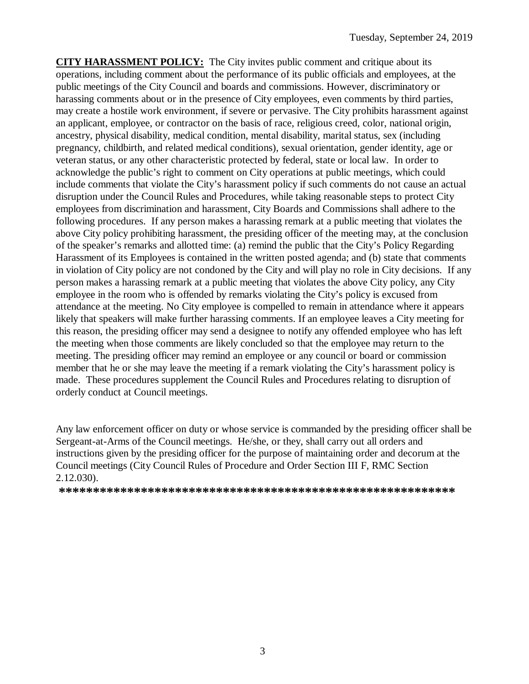**CITY HARASSMENT POLICY:** The City invites public comment and critique about its operations, including comment about the performance of its public officials and employees, at the public meetings of the City Council and boards and commissions. However, discriminatory or harassing comments about or in the presence of City employees, even comments by third parties, may create a hostile work environment, if severe or pervasive. The City prohibits harassment against an applicant, employee, or contractor on the basis of race, religious creed, color, national origin, ancestry, physical disability, medical condition, mental disability, marital status, sex (including pregnancy, childbirth, and related medical conditions), sexual orientation, gender identity, age or veteran status, or any other characteristic protected by federal, state or local law. In order to acknowledge the public's right to comment on City operations at public meetings, which could include comments that violate the City's harassment policy if such comments do not cause an actual disruption under the Council Rules and Procedures, while taking reasonable steps to protect City employees from discrimination and harassment, City Boards and Commissions shall adhere to the following procedures. If any person makes a harassing remark at a public meeting that violates the above City policy prohibiting harassment, the presiding officer of the meeting may, at the conclusion of the speaker's remarks and allotted time: (a) remind the public that the City's Policy Regarding Harassment of its Employees is contained in the written posted agenda; and (b) state that comments in violation of City policy are not condoned by the City and will play no role in City decisions. If any person makes a harassing remark at a public meeting that violates the above City policy, any City employee in the room who is offended by remarks violating the City's policy is excused from attendance at the meeting. No City employee is compelled to remain in attendance where it appears likely that speakers will make further harassing comments. If an employee leaves a City meeting for this reason, the presiding officer may send a designee to notify any offended employee who has left the meeting when those comments are likely concluded so that the employee may return to the meeting. The presiding officer may remind an employee or any council or board or commission member that he or she may leave the meeting if a remark violating the City's harassment policy is made. These procedures supplement the Council Rules and Procedures relating to disruption of orderly conduct at Council meetings.

Any law enforcement officer on duty or whose service is commanded by the presiding officer shall be Sergeant-at-Arms of the Council meetings. He/she, or they, shall carry out all orders and instructions given by the presiding officer for the purpose of maintaining order and decorum at the Council meetings (City Council Rules of Procedure and Order Section III F, RMC Section 2.12.030).

**\*\*\*\*\*\*\*\*\*\*\*\*\*\*\*\*\*\*\*\*\*\*\*\*\*\*\*\*\*\*\*\*\*\*\*\*\*\*\*\*\*\*\*\*\*\*\*\*\*\*\*\*\*\*\*\*\*\***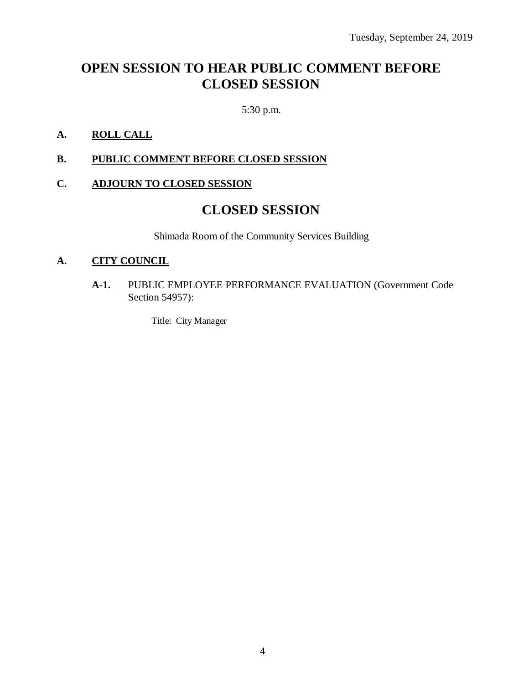## **OPEN SESSION TO HEAR PUBLIC COMMENT BEFORE CLOSED SESSION**

5:30 p.m.

### **A. ROLL CALL**

#### **B. PUBLIC COMMENT BEFORE CLOSED SESSION**

#### **C. ADJOURN TO CLOSED SESSION**

### **CLOSED SESSION**

Shimada Room of the Community Services Building

#### **A. CITY COUNCIL**

**A-1.** PUBLIC EMPLOYEE PERFORMANCE EVALUATION (Government Code Section 54957):

Title: City Manager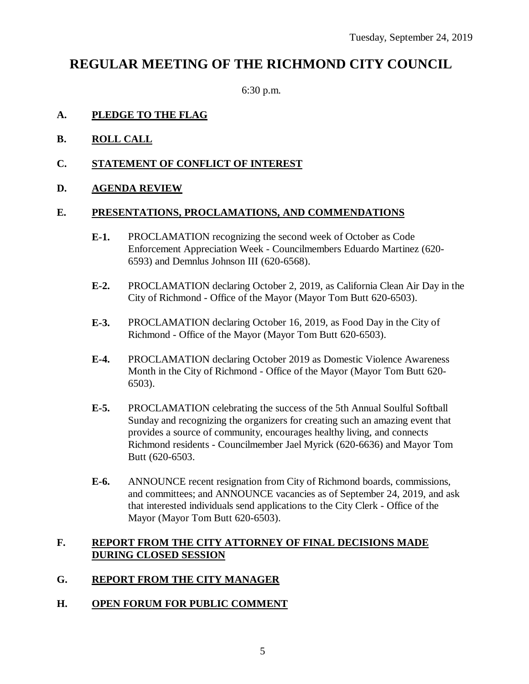### **REGULAR MEETING OF THE RICHMOND CITY COUNCIL**

6:30 p.m.

#### **A. PLEDGE TO THE FLAG**

- **B. ROLL CALL**
- **C. STATEMENT OF CONFLICT OF INTEREST**

#### **D. AGENDA REVIEW**

#### **E. PRESENTATIONS, PROCLAMATIONS, AND COMMENDATIONS**

- **E-1.** PROCLAMATION recognizing the second week of October as Code Enforcement Appreciation Week - Councilmembers Eduardo Martinez (620- 6593) and Demnlus Johnson III (620-6568).
- **E-2.** PROCLAMATION declaring October 2, 2019, as California Clean Air Day in the City of Richmond - Office of the Mayor (Mayor Tom Butt 620-6503).
- **E-3.** PROCLAMATION declaring October 16, 2019, as Food Day in the City of Richmond - Office of the Mayor (Mayor Tom Butt 620-6503).
- **E-4.** PROCLAMATION declaring October 2019 as Domestic Violence Awareness Month in the City of Richmond - Office of the Mayor (Mayor Tom Butt 620- 6503).
- **E-5.** PROCLAMATION celebrating the success of the 5th Annual Soulful Softball Sunday and recognizing the organizers for creating such an amazing event that provides a source of community, encourages healthy living, and connects Richmond residents - Councilmember Jael Myrick (620-6636) and Mayor Tom Butt (620-6503.
- **E-6.** ANNOUNCE recent resignation from City of Richmond boards, commissions, and committees; and ANNOUNCE vacancies as of September 24, 2019, and ask that interested individuals send applications to the City Clerk - Office of the Mayor (Mayor Tom Butt 620-6503).

#### **F. REPORT FROM THE CITY ATTORNEY OF FINAL DECISIONS MADE DURING CLOSED SESSION**

### **G. REPORT FROM THE CITY MANAGER**

#### **H. OPEN FORUM FOR PUBLIC COMMENT**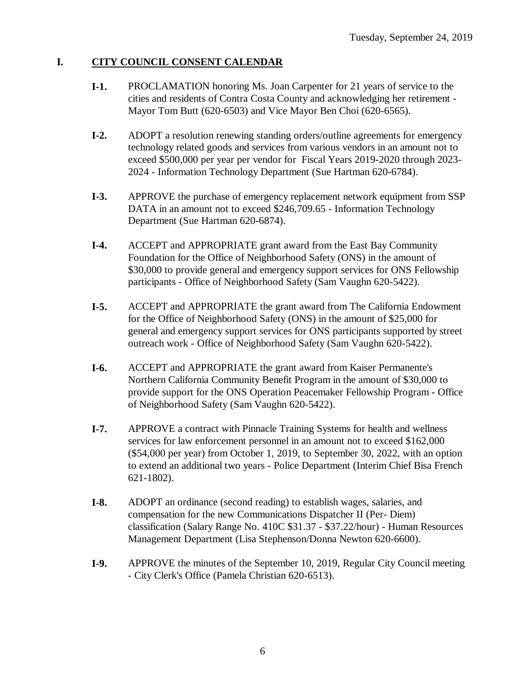#### **I. CITY COUNCIL CONSENT CALENDAR**

- **I-1.** PROCLAMATION honoring Ms. Joan Carpenter for 21 years of service to the cities and residents of Contra Costa County and acknowledging her retirement - Mayor Tom Butt (620-6503) and Vice Mayor Ben Choi (620-6565).
- **I-2.** ADOPT a resolution renewing standing orders/outline agreements for emergency technology related goods and services from various vendors in an amount not to exceed \$500,000 per year per vendor for Fiscal Years 2019-2020 through 2023- 2024 - Information Technology Department (Sue Hartman 620-6784).
- **I-3.** APPROVE the purchase of emergency replacement network equipment from SSP DATA in an amount not to exceed \$246,709.65 - Information Technology Department (Sue Hartman 620-6874).
- **I-4.** ACCEPT and APPROPRIATE grant award from the East Bay Community Foundation for the Office of Neighborhood Safety (ONS) in the amount of \$30,000 to provide general and emergency support services for ONS Fellowship participants - Office of Neighborhood Safety (Sam Vaughn 620-5422).
- **I-5.** ACCEPT and APPROPRIATE the grant award from The California Endowment for the Office of Neighborhood Safety (ONS) in the amount of \$25,000 for general and emergency support services for ONS participants supported by street outreach work - Office of Neighborhood Safety (Sam Vaughn 620-5422).
- **I-6.** ACCEPT and APPROPRIATE the grant award from Kaiser Permanente's Northern California Community Benefit Program in the amount of \$30,000 to provide support for the ONS Operation Peacemaker Fellowship Program - Office of Neighborhood Safety (Sam Vaughn 620-5422).
- **I-7.** APPROVE a contract with Pinnacle Training Systems for health and wellness services for law enforcement personnel in an amount not to exceed \$162,000 (\$54,000 per year) from October 1, 2019, to September 30, 2022, with an option to extend an additional two years - Police Department (Interim Chief Bisa French 621-1802).
- **I-8.** ADOPT an ordinance (second reading) to establish wages, salaries, and compensation for the new Communications Dispatcher II (Per- Diem) classification (Salary Range No. 410C \$31.37 - \$37.22/hour) - Human Resources Management Department (Lisa Stephenson/Donna Newton 620-6600).
- **I-9.** APPROVE the minutes of the September 10, 2019, Regular City Council meeting - City Clerk's Office (Pamela Christian 620-6513).